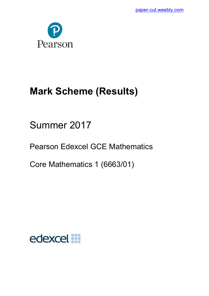

# **Mark Scheme (Results)**

Summer 2017

Pearson Edexcel GCE Mathematics

Core Mathematics 1 (6663/01)

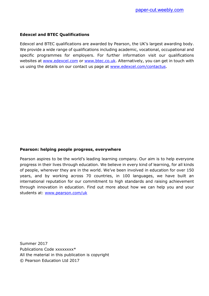# **Edexcel and BTEC Qualifications**

Edexcel and BTEC qualifications are awarded by Pearson, the UK's largest awarding body. We provide a wide range of qualifications including academic, vocational, occupational and specific programmes for employers. For further information visit our qualifications websites at [www.edexcel.com](http://www.edexcel.com/) or [www.btec.co.uk.](http://www.btec.co.uk/) Alternatively, you can get in touch with us using the details on our contact us page at [www.edexcel.com/contactus.](http://www.edexcel.com/contactus)

# **Pearson: helping people progress, everywhere**

Pearson aspires to be the world's leading learning company. Our aim is to help everyone progress in their lives through education. We believe in every kind of learning, for all kinds of people, wherever they are in the world. We've been involved in education for over 150 years, and by working across 70 countries, in 100 languages, we have built an international reputation for our commitment to high standards and raising achievement through innovation in education. Find out more about how we can help you and your students at: [www.pearson.com/uk](http://www.pearson.com/uk)

Summer 2017 Publications Code xxxxxxxx\* All the material in this publication is copyright © Pearson Education Ltd 2017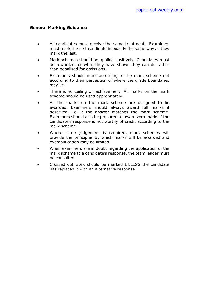- All candidates must receive the same treatment. Examiners must mark the first candidate in exactly the same way as they mark the last.
- Mark schemes should be applied positively. Candidates must be rewarded for what they have shown they can do rather than penalised for omissions.
- Examiners should mark according to the mark scheme not according to their perception of where the grade boundaries may lie.
- There is no ceiling on achievement. All marks on the mark scheme should be used appropriately.
- All the marks on the mark scheme are designed to be awarded. Examiners should always award full marks if deserved, i.e. if the answer matches the mark scheme. Examiners should also be prepared to award zero marks if the candidate's response is not worthy of credit according to the mark scheme.
- Where some judgement is required, mark schemes will provide the principles by which marks will be awarded and exemplification may be limited.
- When examiners are in doubt regarding the application of the mark scheme to a candidate's response, the team leader must be consulted.
- Crossed out work should be marked UNLESS the candidate has replaced it with an alternative response.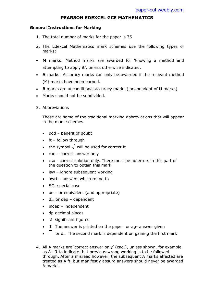# **PEARSON EDEXCEL GCE MATHEMATICS**

## **General Instructions for Marking**

- 1. The total number of marks for the paper is 75
- 2. The Edexcel Mathematics mark schemes use the following types of marks:
- **M** marks: Method marks are awarded for 'knowing a method and attempting to apply it', unless otherwise indicated.
- **A** marks: Accuracy marks can only be awarded if the relevant method (M) marks have been earned.
- **B** marks are unconditional accuracy marks (independent of M marks)
- Marks should not be subdivided.
- 3. Abbreviations

These are some of the traditional marking abbreviations that will appear in the mark schemes.

- bod benefit of doubt
- $\bullet$  ft follow through
- the symbol  $\sqrt{\ }$  will be used for correct ft
- cao correct answer only
- cso correct solution only. There must be no errors in this part of the question to obtain this mark
- isw ignore subsequent working
- awrt answers which round to
- SC: special case
- oe or equivalent (and appropriate)
- d… or dep dependent
- $\bullet$  indep independent
- dp decimal places
- sf significant figures
- $\bullet\quad \star$  The answer is printed on the paper or ag- answer given
- $\bullet$   $\Box$  or d... The second mark is dependent on gaining the first mark
- 4. All A marks are 'correct answer only' (cao.), unless shown, for example, as A1 ft to indicate that previous wrong working is to be followed through. After a misread however, the subsequent A marks affected are treated as A ft, but manifestly absurd answers should never be awarded A marks.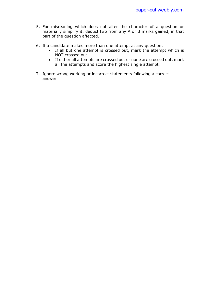- 5. For misreading which does not alter the character of a question or materially simplify it, deduct two from any A or B marks gained, in that part of the question affected.
- 6. If a candidate makes more than one attempt at any question:
	- If all but one attempt is crossed out, mark the attempt which is NOT crossed out.
	- If either all attempts are crossed out or none are crossed out, mark all the attempts and score the highest single attempt.
- 7. Ignore wrong working or incorrect statements following a correct answer.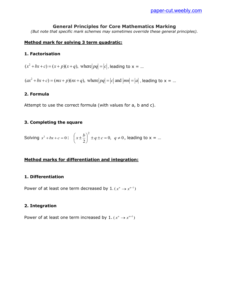# **General Principles for Core Mathematics Marking**

*(But note that specific mark schemes may sometimes override these general principles).* 

## **Method mark for solving 3 term quadratic:**

#### **1. Factorisation**

 $(x^2 + bx + c) = (x + p)(x + q)$ , where  $|pq| = |c|$ , leading to x = ...

 $(ax^2 + bx + c) = (mx + p)(nx + q)$ , where  $|pq| = |c|$  and  $|mn| = |a|$ , leading to  $x = ...$ 

#### **2. Formula**

Attempt to use the correct formula (with values for a, b and c).

#### **3. Completing the square**

Solving 
$$
x^2 + bx + c = 0
$$
:  $\left(x \pm \frac{b}{2}\right)^2 \pm q \pm c = 0$ ,  $q \neq 0$ , leading to  $x = ...$ 

## **Method marks for differentiation and integration:**

#### **1. Differentiation**

Power of at least one term decreased by  $1.(x^n \rightarrow x^{n-1})$ 

#### **2. Integration**

Power of at least one term increased by 1.  $(x^n \rightarrow x^{n+1})$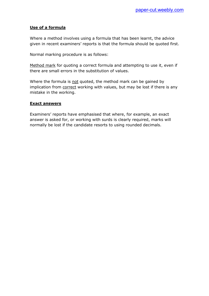# **Use of a formula**

Where a method involves using a formula that has been learnt, the advice given in recent examiners' reports is that the formula should be quoted first.

Normal marking procedure is as follows:

Method mark for quoting a correct formula and attempting to use it, even if there are small errors in the substitution of values.

Where the formula is not quoted, the method mark can be gained by implication from correct working with values, but may be lost if there is any mistake in the working.

## **Exact answers**

Examiners' reports have emphasised that where, for example, an exact answer is asked for, or working with surds is clearly required, marks will normally be lost if the candidate resorts to using rounded decimals.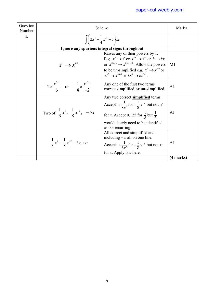| Question<br>Number | Scheme                                                                                                                                                                                                                                                                                                                                       | Marks          |
|--------------------|----------------------------------------------------------------------------------------------------------------------------------------------------------------------------------------------------------------------------------------------------------------------------------------------------------------------------------------------|----------------|
| 1.                 | $\int 2x^5 - \frac{1}{4}x^{-3} - 5 dx$                                                                                                                                                                                                                                                                                                       |                |
|                    | Ignore any spurious integral signs throughout                                                                                                                                                                                                                                                                                                |                |
|                    | Raises any of their powers by 1.<br>E.g. $x^5 \rightarrow x^6$ or $x^{-3} \rightarrow x^{-2}$ or $k \rightarrow kx$<br>or $x^{\text{their }n} \rightarrow x^{\text{their }n+1}$ . Allow the powers<br>$x^n \rightarrow x^{n+1}$<br>to be un-simplified e.g. $x^5 \rightarrow x^{5+1}$ or<br>$x^{-3} \to x^{-3+1}$ or $kx^{0} \to kx^{0+1}$ . | M <sub>1</sub> |
|                    | Any one of the first two terms<br>$2 \times \frac{x^{3+1}}{6}$ or $-\frac{1}{4} \times \frac{x^{3+1}}{2}$<br>correct simplified or un-simplified.                                                                                                                                                                                            | A <sub>1</sub> |
|                    | Any two correct <b>simplified</b> terms.<br>Accept $+\frac{1}{8x^2}$ for $+\frac{1}{8}x^{-2}$ but not $x^1$<br>Two of: $\frac{1}{3}x^6$ , $\frac{1}{8}x^{-2}$ , $-5x$<br>for x. Accept 0.125 for $\frac{1}{8}$ but $\frac{1}{3}$<br>would clearly need to be identified<br>as 0.3 recurring.                                                 | A <sub>1</sub> |
|                    | All correct and simplified and<br>including $+ c$ all on one line.<br>$\frac{1}{3}x^6 + \frac{1}{8}x^{-2} - 5x + c$<br>Accept $+\frac{1}{8x^2}$ for $+\frac{1}{8}x^{-2}$ but not $x^1$<br>for x. Apply is where.                                                                                                                             | A <sub>1</sub> |
|                    |                                                                                                                                                                                                                                                                                                                                              | (4 marks)      |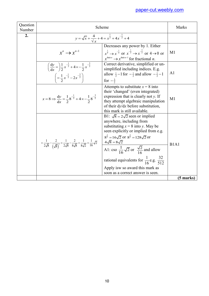| Question<br>Number |                                                                                                                                                                                     | Scheme                                                                                                                                                                                                                                                                                                                                                                                                                                                                 | <b>Marks</b>                  |
|--------------------|-------------------------------------------------------------------------------------------------------------------------------------------------------------------------------------|------------------------------------------------------------------------------------------------------------------------------------------------------------------------------------------------------------------------------------------------------------------------------------------------------------------------------------------------------------------------------------------------------------------------------------------------------------------------|-------------------------------|
| 2.                 |                                                                                                                                                                                     | $y = \sqrt{x} + \frac{4}{\sqrt{x}} + 4 = x^{\frac{1}{2}} + 4x^{-\frac{1}{2}} + 4$                                                                                                                                                                                                                                                                                                                                                                                      |                               |
|                    | $x^n \rightarrow x^{n-1}$                                                                                                                                                           | Decreases any power by 1. Either<br>$x^{\frac{1}{2}} \to x^{-\frac{1}{2}}$ or $x^{-\frac{1}{2}} \to x^{-\frac{3}{2}}$ or $4 \to 0$ or<br>$x^{\text{their }n} \rightarrow x^{\text{their }n-1}$ for fractional <i>n</i> .                                                                                                                                                                                                                                               | M1                            |
|                    | $\left(\frac{dy}{dx} = \right) \frac{1}{2} x^{-\frac{1}{2}} + 4 \times \left(-\frac{1}{2} x^{-\frac{3}{2}}\right)$<br>$\left(=\frac{1}{2}x^{-\frac{1}{2}}-2x^{-\frac{3}{2}}\right)$ | Correct derivative, simplified or un-<br>simplified including indices. E.g.<br>allow $\frac{1}{2}$ -1 for $-\frac{1}{2}$ and allow $-\frac{1}{2}$ -1<br>for $-\frac{3}{2}$                                                                                                                                                                                                                                                                                             | A <sub>1</sub>                |
|                    | $x=8 \Rightarrow \frac{dy}{dx} = \frac{1}{2}8^{-\frac{1}{2}} + 4 \times \frac{1}{2}8^{-\frac{3}{2}}$                                                                                | Attempts to substitute $x = 8$ into<br>their 'changed' (even integrated)<br>expression that is clearly not $y$ . If<br>they attempt algebraic manipulation<br>of their $dy/dx$ before substitution,<br>this mark is still available.                                                                                                                                                                                                                                   | M <sub>1</sub>                |
|                    | $=\frac{1}{2\sqrt{8}}-\frac{2}{(\sqrt{8})^3}=\frac{1}{2\sqrt{8}}-\frac{2}{8\sqrt{8}}=\frac{1}{8\sqrt{2}}=\frac{1}{16}\sqrt{2}$                                                      | B1: $\sqrt{8} = 2\sqrt{2}$ seen or implied<br>anywhere, including from<br>substituting $x = 8$ into y. May be<br>seen explicitly or implied from e.g.<br>$8^{\frac{3}{2}} = 16\sqrt{2}$ or $8^{\frac{5}{2}} = 128\sqrt{2}$ or<br>$4\sqrt{8} = 8\sqrt{2}$<br>A1: cso $\frac{1}{16}\sqrt{2}$ or $\frac{\sqrt{2}}{16}$ and allow<br>rational equivalents for $\frac{1}{16}$ e.g. $\frac{32}{512}$<br>Apply isw so award this mark as<br>soon as a correct answer is seen. | B <sub>1</sub> A <sub>1</sub> |
|                    |                                                                                                                                                                                     |                                                                                                                                                                                                                                                                                                                                                                                                                                                                        | (5 marks)                     |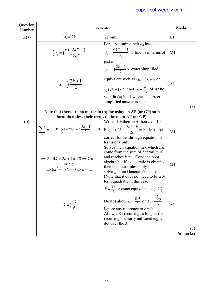| Question<br>Number |                                                                                                                | Scheme                                                                                                                                                                                                                                                                                                        | Marks               |
|--------------------|----------------------------------------------------------------------------------------------------------------|---------------------------------------------------------------------------------------------------------------------------------------------------------------------------------------------------------------------------------------------------------------------------------------------------------------|---------------------|
| 3(a)               | $(a, =) 2k$                                                                                                    | $2k$ only                                                                                                                                                                                                                                                                                                     | B1                  |
|                    | $\left(a_{3} = \right) \frac{k \left( \frac{n \cdot 2k}{r+1} \right)}{n \cdot 2k^{n}}$                         | For substituting their $a_2$ into<br>$a_3 = \frac{k(a_2+1)}{a}$ to find as in terms of<br>just $k$                                                                                                                                                                                                            | M <sub>1</sub>      |
|                    | $(a_{3} =)\frac{2k+1}{2}$                                                                                      | $\left(a_{3} = \right) \frac{2k+1}{2}$ or exact simplified<br>equivalent such as $(a_3 =)k + \frac{1}{2}$ or<br>$\frac{1}{2}(2k+1)$ but not $k+\frac{k}{2k}$ <b>Must be</b><br>seen in (a) but is wonce a correct<br>simplified answer is seen.                                                               | A <sub>1</sub>      |
|                    |                                                                                                                |                                                                                                                                                                                                                                                                                                               | (3)                 |
|                    |                                                                                                                | Note that there are no marks in (b) for using an AP (or GP) sum<br>formula unless their terms do form an AP (or GP).                                                                                                                                                                                          |                     |
| <b>(b)</b>         |                                                                                                                | Writes $1 +$ their $a_2 +$ their $a_3 = 10$ .<br>$\sum_{r=1}^{\infty} a_r = 10 \Rightarrow 1 + 2k + \frac{2k+1}{2} = 10 \quad \text{E.g. } 1 + 2k + \frac{2k^2 + k}{2k} = 10.$ Must be a<br>correct follow through equation in<br>terms of $k$ only.                                                          | M1                  |
|                    | $\Rightarrow$ 2+4k + 2k + 1 = 20 $\Rightarrow$ k =<br>or e.g.<br>$\Rightarrow 6k^2 - 17k = 0 \Rightarrow k = $ | Solves their equation in $k$ which has<br>come from the sum of 3 terms = $10$ ,<br>and reaches $k = $ Condone poor<br>algebra but if a quadratic is obtained<br>then the usual rules apply for<br>solving – see General Principles.<br>(Note that it does not need to be a 3-<br>term quadratic in this case) | M1                  |
|                    | $(k=)\frac{17}{6}$                                                                                             | $k = \frac{17}{6}$ or exact equivalent e.g. $2\frac{5}{6}$<br>Do <b>not</b> allow $k = \frac{8.5}{3}$ or $k = \frac{17}{3}$<br>Ignore any reference to $k = 0$ .<br>Allow 2.83 recurring as long as the<br>recurring is clearly indicated e.g. a<br>dot over the 3.                                           | A <sub>1</sub>      |
|                    |                                                                                                                |                                                                                                                                                                                                                                                                                                               | (3)                 |
|                    |                                                                                                                |                                                                                                                                                                                                                                                                                                               | $(6 \text{ marks})$ |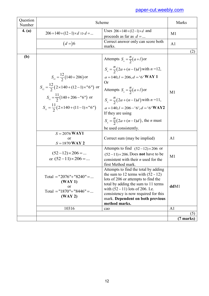| Question<br>Number |                                                                                                                                                                                                                               | Scheme                                                                                                                                                                                                                                                                                                                                                                           | Marks          |
|--------------------|-------------------------------------------------------------------------------------------------------------------------------------------------------------------------------------------------------------------------------|----------------------------------------------------------------------------------------------------------------------------------------------------------------------------------------------------------------------------------------------------------------------------------------------------------------------------------------------------------------------------------|----------------|
| 4. (a)             | $206 = 140 + (12 - 1) \times d \implies d = $                                                                                                                                                                                 | Uses $206 = 140 + (12 - 1) \times d$ and<br>proceeds as far as $d = $                                                                                                                                                                                                                                                                                                            | M1             |
|                    | $(d=)6$                                                                                                                                                                                                                       | Correct answer only can score both<br>marks.                                                                                                                                                                                                                                                                                                                                     | A <sub>1</sub> |
|                    |                                                                                                                                                                                                                               |                                                                                                                                                                                                                                                                                                                                                                                  | (2)            |
| (b)                | $S_{12} = \frac{12}{2} (140 + 206)$ or<br>$S_{12} = \frac{12}{2} (2 \times 140 + (12 - 1) \times 6^{\circ})$ or<br>$S_{11} = \frac{11}{2} (140 + 206 - "6")$ or<br>$S_{11} = \frac{11}{2} (2 \times 140 + (11 - 1) \times 5)$ | Attempts $S_n = \frac{n}{2}(a+l)$ or<br>$S_n = \frac{n}{2}(2a + (n-1)d)$ with $n = 12$ ,<br>$a = 140, l = 206, d = 6$ WAY 1<br><b>Or</b><br>Attempts $S_n = \frac{n}{2}(a+l)$ or<br>$S_n = \frac{n}{2}(2a + (n-1)d)$ with $n = 11$ ,<br>$a = 140, l = 206 - 6, d = 6$ WAY2<br>If they are using<br>$S_n = \frac{n}{2}(2a + (n-1)d)$ , the <i>n</i> must<br>be used consistently. | M1             |
|                    | $S = 2076$ WAY1<br>or<br>$S = 1870$ WAY 2                                                                                                                                                                                     | Correct sum (may be implied)                                                                                                                                                                                                                                                                                                                                                     | A <sub>1</sub> |
|                    | $(52-12)\times 206 = $<br>or $(52-11) \times 206$ =                                                                                                                                                                           | Attempts to find $(52-12) \times 206$ or<br>$(52-11)\times 206$ . Does <b>not</b> have to be<br>consistent with their $n$ used for the<br>first Method mark.                                                                                                                                                                                                                     | M <sub>1</sub> |
|                    | Total = "2076"+ "8240" =<br>(WAY1)<br>or<br>Total = "1870"+ "8446" =<br>(WAY2)                                                                                                                                                | Attempts to find the total by adding<br>the sum to 12 terms with $(52 - 12)$<br>lots of 206 or attempts to find the<br>total by adding the sum to 11 terms<br>with (52 - 11) lots of 206. I.e.<br>consistency is now required for this<br>mark. Dependent on both previous<br>method marks.                                                                                      | ddM1           |
|                    | 10316                                                                                                                                                                                                                         | cao                                                                                                                                                                                                                                                                                                                                                                              | A <sub>1</sub> |
|                    |                                                                                                                                                                                                                               |                                                                                                                                                                                                                                                                                                                                                                                  | (5)            |
|                    |                                                                                                                                                                                                                               |                                                                                                                                                                                                                                                                                                                                                                                  | (7 marks)      |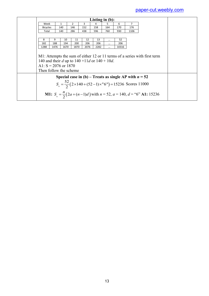|                                                                                                        |      |      |                |      | Listing in $(b)$ : |          |       |                                                         |                                                                                                    |  |
|--------------------------------------------------------------------------------------------------------|------|------|----------------|------|--------------------|----------|-------|---------------------------------------------------------|----------------------------------------------------------------------------------------------------|--|
| Week                                                                                                   |      | 1    | $\overline{2}$ | 3    | 4                  | 5.       | 6     | 7                                                       |                                                                                                    |  |
| <b>Bicycles</b>                                                                                        |      | 140  | 146            | 152  | 158                | 164      | 170   | 176                                                     |                                                                                                    |  |
| Total                                                                                                  |      | 140  | 286            | 438  | 596                | 760      | 930   | 1106                                                    |                                                                                                    |  |
|                                                                                                        |      |      |                |      |                    |          |       |                                                         |                                                                                                    |  |
| 8                                                                                                      | 9    | 10   | 11             | 12   | 13                 |          | 52    |                                                         |                                                                                                    |  |
| 182                                                                                                    | 188  | 194  | 200            | 206  | 206                | $\cdots$ | 206   |                                                         |                                                                                                    |  |
| 1288                                                                                                   | 1476 | 1670 | 1870           | 2076 | 2282               | $\cdots$ | 10316 |                                                         |                                                                                                    |  |
| 140 and their d up to $140 + 11d$ or $140 + 10d$ .<br>A1: $S = 2076$ or 1870<br>Then follow the scheme |      |      |                |      |                    |          |       |                                                         |                                                                                                    |  |
|                                                                                                        |      |      |                |      |                    |          |       | Special case in (b) – Treats as single AP with $n = 52$ |                                                                                                    |  |
| $S_n = \frac{52}{2} (2 \times 140 + (52 - 1) \times 6^{n}) = 15236$ Scores 11000                       |      |      |                |      |                    |          |       |                                                         |                                                                                                    |  |
|                                                                                                        |      |      |                |      |                    |          |       |                                                         | <b>M1:</b> $S_n = \frac{n}{2}(2a + (n-1)d)$ with $n = 52$ , $a = 140$ , $d =$ "6" <b>A1:</b> 15236 |  |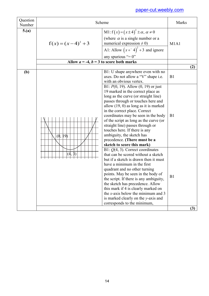| Question<br>Number | Scheme                                       |                                                                                                                                                                                                                                                                                                                                                                                                                                                                                                                                                                   | Marks                         |
|--------------------|----------------------------------------------|-------------------------------------------------------------------------------------------------------------------------------------------------------------------------------------------------------------------------------------------------------------------------------------------------------------------------------------------------------------------------------------------------------------------------------------------------------------------------------------------------------------------------------------------------------------------|-------------------------------|
| 5(a)               | $f(x)=(x-4)^2+3$                             | M1: $f(x) = (x \pm 4)^2 \pm \alpha$ , $\alpha \neq 0$<br>(where $\alpha$ is a single number or a<br>numerical expression $\neq 0$ )<br>A1: Allow $(x+^{-}4)^2 + 3$ and ignore<br>any spurious "= $0$ "                                                                                                                                                                                                                                                                                                                                                            | M <sub>1</sub> A <sub>1</sub> |
|                    | Allow $a = -4$ , $b = 3$ to score both marks |                                                                                                                                                                                                                                                                                                                                                                                                                                                                                                                                                                   |                               |
| (b)                | (0,<br>$ 9\rangle$                           | B1: U shape anywhere even with no<br>axes. Do not allow a "V" shape i.e.<br>with an obvious vertex.<br>B1: $P(0, 19)$ . Allow $(0, 19)$ or just<br>19 marked in the correct place as<br>long as the curve (or straight line)<br>passes through or touches here and<br>allow $(19, 0)$ as long as it is marked<br>in the correct place. Correct<br>coordinates may be seen in the body<br>of the script as long as the curve (or<br>straight line) passes through or<br>touches here. If there is any<br>ambiguity, the sketch has<br>precedence. (There must be a | (2)<br>B1<br>B1               |
|                    |                                              | sketch to score this mark)<br>B1: $Q(4, 3)$ . Correct coordinates<br>that can be scored without a sketch<br>but if a sketch is drawn then it must<br>have a minimum in the first<br>quadrant and no other turning<br>points. May be seen in the body of<br>the script. If there is any ambiguity,<br>the sketch has precedence. Allow<br>this mark if 4 is clearly marked on<br>the x-axis below the minimum and $3$<br>is marked clearly on the y-axis and<br>corresponds to the minimum,                                                                        | B1                            |
|                    |                                              |                                                                                                                                                                                                                                                                                                                                                                                                                                                                                                                                                                   | (3)                           |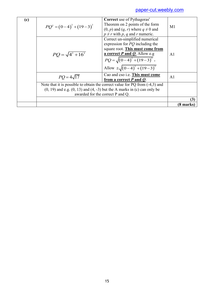| (c) | $PQ^{2} = (0-4)^{2} + (19-3)^{2}$                                               | <b>Correct</b> use of Pythagoras'<br>Theorem on 2 points of the form<br>$(0, p)$ and $(q, r)$ where $q \neq 0$ and<br>$p \neq r$ with p, q and r numeric.                                                                    | M1             |
|-----|---------------------------------------------------------------------------------|------------------------------------------------------------------------------------------------------------------------------------------------------------------------------------------------------------------------------|----------------|
|     | $PQ = \sqrt{4^2 + 16^2}$                                                        | Correct un-simplified numerical<br>expression for $PQ$ including the<br>square root. This must come from<br>a correct $P$ and $Q$ . Allow e.g<br>$PQ = \sqrt{(0-4)^2 + (19-3)^2}$ .<br>Allow $\pm \sqrt{(0-4)^2 + (19-3)^2}$ | A <sub>1</sub> |
|     | $PO = 4\sqrt{17}$                                                               | Cao and cso i.e. This must come<br>from a correct $P$ and $Q$ .                                                                                                                                                              | A <sub>1</sub> |
|     | Note that it is possible to obtain the correct value for PQ from (-4,3) and     |                                                                                                                                                                                                                              |                |
|     | $(0, 19)$ and e.g. $(0, 13)$ and $(4, -3)$ but the A marks in $(c)$ can only be |                                                                                                                                                                                                                              |                |
|     | awarded for the correct P and Q.                                                |                                                                                                                                                                                                                              |                |
|     |                                                                                 |                                                                                                                                                                                                                              | (3)            |
|     |                                                                                 |                                                                                                                                                                                                                              | (8 marks)      |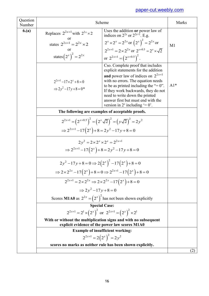| Question<br>Number |                                                                              | Scheme                                                                                                                                                                                                                                                                                                                                                     | Marks |  |
|--------------------|------------------------------------------------------------------------------|------------------------------------------------------------------------------------------------------------------------------------------------------------------------------------------------------------------------------------------------------------------------------------------------------------------------------------------------------------|-------|--|
| 6(a)               | Replaces $2^{2x+1}$ with $2^{2x} \times 2$<br>or                             | Uses the addition or power law of<br>indices on $2^{2x}$ or $2^{2x+1}$ . E.g.                                                                                                                                                                                                                                                                              |       |  |
|                    | states $2^{2x+1} = 2^{2x} \times 2$                                          | $2^{x} \times 2^{x} = 2^{2x}$ or $(2^{x})^{2} = 2^{2x}$ or                                                                                                                                                                                                                                                                                                 | M1    |  |
|                    | or                                                                           | $2^{2x+1} = 2 \times 2^{2x}$ or $2^{x+0.5} = 2^x \times \sqrt{2}$                                                                                                                                                                                                                                                                                          |       |  |
|                    | states $(2^{x})^{2} = 2^{2x}$                                                | or $2^{2x+1} = (2^{x+0.5})^2$ .                                                                                                                                                                                                                                                                                                                            |       |  |
|                    | $2^{2x+1}$ – $17 \times 2^x + 8 = 0$<br>$\Rightarrow 2v^2-17v+8=0^*$         | Cso. Complete proof that includes<br>explicit statements for the addition<br>and power law of indices on $2^{2x+1}$<br>with no errors. The equation needs<br>to be as printed including the "= $0$ ".<br>If they work backwards, they do not<br>need to write down the printed<br>answer first but must end with the<br>version in $2^x$ including $= 0$ . | $A1*$ |  |
|                    | The following are examples of acceptable proofs.                             |                                                                                                                                                                                                                                                                                                                                                            |       |  |
|                    |                                                                              | $2^{2x+1} = (2^{x+0.5})^2 = (2^x \sqrt{2})^2 = (y\sqrt{2})^2 = 2y^2$                                                                                                                                                                                                                                                                                       |       |  |
|                    | $\Rightarrow 2^{2x+1} - 17(2^{x}) + 8 = 2y^{2} - 17y + 8 = 0$                |                                                                                                                                                                                                                                                                                                                                                            |       |  |
|                    | $2v^2 = 2 \times 2^x \times 2^x = 2^{2x+1}$                                  |                                                                                                                                                                                                                                                                                                                                                            |       |  |
|                    |                                                                              | $\Rightarrow 2^{2x+1} - 17(2^{x}) + 8 = 2y^{2} - 17y + 8 = 0$                                                                                                                                                                                                                                                                                              |       |  |
|                    | $2y^2-17y+8=0 \Rightarrow 2(2^x)^2-17(2^x)+8=0$                              |                                                                                                                                                                                                                                                                                                                                                            |       |  |
|                    |                                                                              | $\Rightarrow 2 \times 2^{2x} - 17(2^{x}) + 8 = 0 \Rightarrow 2^{2x+1} - 17(2^{x}) + 8 = 0$                                                                                                                                                                                                                                                                 |       |  |
|                    | $2^{2x+1} = 2 \times 2^{2x} \Rightarrow 2 \times 2^{2x} - 17(2^{x}) + 8 = 0$ |                                                                                                                                                                                                                                                                                                                                                            |       |  |
|                    |                                                                              | $\Rightarrow 2v^2-17v+8=0$                                                                                                                                                                                                                                                                                                                                 |       |  |
|                    |                                                                              | Scores M1A0 as $2^{2x} = (2^x)^2$ has not been shown explicitly                                                                                                                                                                                                                                                                                            |       |  |
|                    | <b>Special Case:</b>                                                         |                                                                                                                                                                                                                                                                                                                                                            |       |  |
|                    | $2^{2x+1} = 2^1 \times (2^x)^2$ or $2^{2x+1} = (2^x)^2 \times 2^1$           | With or without the multiplication signs and with no subsequent                                                                                                                                                                                                                                                                                            |       |  |
|                    |                                                                              | explicit evidence of the power law scores M1A0                                                                                                                                                                                                                                                                                                             |       |  |
|                    |                                                                              | <b>Example of insufficient working:</b>                                                                                                                                                                                                                                                                                                                    |       |  |
|                    |                                                                              | $2^{2x+1} = 2(2^x)^2 = 2y^2$                                                                                                                                                                                                                                                                                                                               |       |  |
|                    |                                                                              | scores no marks as neither rule has been shown explicitly.                                                                                                                                                                                                                                                                                                 | (2)   |  |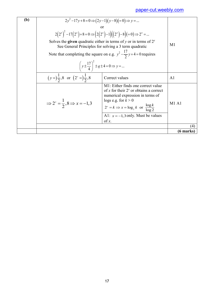| (b) | $2y^2-17y+8=0 \Rightarrow (2y-1)(y-8)(=0) \Rightarrow y=$                                |                                                                                                                                                                                                                                                        |                    |
|-----|------------------------------------------------------------------------------------------|--------------------------------------------------------------------------------------------------------------------------------------------------------------------------------------------------------------------------------------------------------|--------------------|
|     |                                                                                          | or                                                                                                                                                                                                                                                     |                    |
|     | $2(2^x)^2 - 17(2^x) + 8 = 0 \Rightarrow (2(2^x) - 1)((2^x) - 8)(= 0) \Rightarrow 2^x = $ |                                                                                                                                                                                                                                                        |                    |
|     |                                                                                          | Solves the <b>given</b> quadratic either in terms of y or in terms of $2^x$<br>See General Principles for solving a 3 term quadratic                                                                                                                   | M1                 |
|     |                                                                                          | Note that completing the square on e.g. $y^2 - \frac{17}{2}y + 4 = 0$ requires                                                                                                                                                                         |                    |
|     | $\left(y \pm \frac{17}{4}\right)^2 \pm q \pm 4 = 0 \Rightarrow y = $                     |                                                                                                                                                                                                                                                        |                    |
|     | $(y=)\frac{1}{2}, 8$ or $(2^{x}=\frac{1}{2}, 8)$                                         | Correct values                                                                                                                                                                                                                                         | A <sub>1</sub>     |
|     | $\Rightarrow 2^x = \frac{1}{2}, 8 \Rightarrow x = -1, 3$                                 | M1: Either finds one correct value<br>of x for their $2^x$ or obtains a correct<br>numerical expression in terms of<br>logs e.g. for $k > 0$<br>$2^{x} = k \implies x = \log_{2} k$ or $\frac{\log k}{\log 2}$<br>A1: $x = -1, 3$ only. Must be values | M1A1               |
|     |                                                                                          | of $x$ .                                                                                                                                                                                                                                               |                    |
|     |                                                                                          |                                                                                                                                                                                                                                                        | $\left( 4 \right)$ |
|     |                                                                                          |                                                                                                                                                                                                                                                        | (6 marks)          |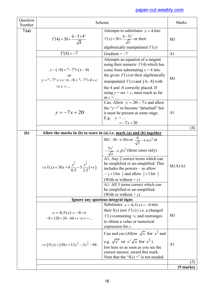| Question<br>Number |                                                                                                                 | Scheme                                                                                                                                                                                                                                                                                                                                                                                                                                                                                                     | Marks                 |
|--------------------|-----------------------------------------------------------------------------------------------------------------|------------------------------------------------------------------------------------------------------------------------------------------------------------------------------------------------------------------------------------------------------------------------------------------------------------------------------------------------------------------------------------------------------------------------------------------------------------------------------------------------------------|-----------------------|
| 7.(a)              | $f'(4) = 30 + \frac{6 - 5 \times 4^2}{\sqrt{4}}$                                                                | Attempts to substitutes $x = 4$ into<br>$f'(x) = 30 + \frac{6 - 5x^2}{\sqrt{x}}$ or their<br>algebraically manipulated $f'(x)$                                                                                                                                                                                                                                                                                                                                                                             | M <sub>1</sub>        |
|                    | $f'(4) = -7$                                                                                                    | Gradient = $-7$                                                                                                                                                                                                                                                                                                                                                                                                                                                                                            | A <sub>1</sub>        |
|                    | $y-(-8) = -7 \times (x-4)$<br>$y =$ " $-7$ " $x + c \implies -8 =$ " $-7$ " $\times$ 4 + c<br>$\Rightarrow$ c = | Attempts an equation of a tangent<br>using their numeric $f'(4)$ which has<br>come from substituting $x = 4$ into<br>the given $f'(x)$ or their algebraically<br>manipulated $f'(x)$ and $(4,-8)$ with<br>the 4 and -8 correctly placed. If<br>using $y = mx + c$ , must reach as far<br>as $c = \dots$                                                                                                                                                                                                    | M <sub>1</sub>        |
|                    | $y = -7x + 20$                                                                                                  | Cao. Allow $y = 20 - 7x$ and allow<br>the " $y =$ " to become "detached" but<br>it must be present at some stage.<br>E.g. $y = $<br>$=-7x+20$                                                                                                                                                                                                                                                                                                                                                              | A <sub>1</sub>        |
|                    |                                                                                                                 |                                                                                                                                                                                                                                                                                                                                                                                                                                                                                                            | (4)                   |
| (b)                |                                                                                                                 | Allow the marks in (b) to score in (a) i.e. $mark$ (a) and (b) together                                                                                                                                                                                                                                                                                                                                                                                                                                    |                       |
|                    | $\Rightarrow f(x) = 30x + 6\frac{x^{\frac{1}{2}}}{0.5} - 5\frac{x^{\frac{3}{2}}}{2.5}(+c)$                      | M1: 30 $\rightarrow$ 30x or $\frac{6}{\sqrt{x}} \rightarrow \alpha x^{\frac{1}{2}}$ or<br>$-\frac{5x^2}{\sqrt{x}} \rightarrow \beta x^{\frac{5}{2}}$ (these cases only)<br>A1: Any 2 correct terms which can<br>be simplified or un-simplified. This<br>includes the powers $-$ so allow<br>$-\frac{1}{2}+1$ for $\frac{1}{2}$ and allow $\frac{3}{2}+1$ for $\frac{5}{2}$<br>(With or without + $c$ )<br>A1: All 3 terms correct which can<br>be simplified or un-simplified.<br>(With or without + $c$ ) | M1A1A1                |
|                    |                                                                                                                 | Ignore any spurious integral signs                                                                                                                                                                                                                                                                                                                                                                                                                                                                         |                       |
|                    | $x=4, f(x)=-8 \implies$<br>$-8 = 120 + 24 - 64 + c \implies c = $                                               | Substitutes $x = 4$ , $f(x) = -8$ into<br>their $f(x)$ (not $f'(x)$ ) i.e. a changed<br>f '(x) containing $+c$ and rearranges<br>to obtain a value or numerical<br>expression for $c$ .                                                                                                                                                                                                                                                                                                                    | M1                    |
|                    | $\Rightarrow (f(x)=)30x+12x^{\frac{1}{2}}-2x^{\frac{3}{2}}-88$                                                  | Cao and cso (Allow $\sqrt{x}$ for $x^{\frac{1}{2}}$ and<br>e.g. $\sqrt{x^5}$ or $x^2\sqrt{x}$ for $x^{\frac{5}{2}}$ ).<br>Is where so as soon as you see the<br>correct answer, award this mark.<br>Note that the "f(x) =" is not needed.                                                                                                                                                                                                                                                                  | A <sub>1</sub><br>(5) |
|                    |                                                                                                                 |                                                                                                                                                                                                                                                                                                                                                                                                                                                                                                            | $(9 \text{ marks})$   |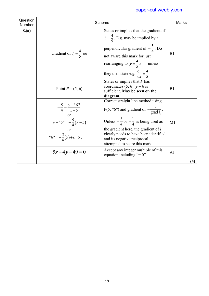| Question<br>Number |                                                                                                                                | Scheme                                                                                                                                                                                                                                                                                                        | <b>Marks</b>   |
|--------------------|--------------------------------------------------------------------------------------------------------------------------------|---------------------------------------------------------------------------------------------------------------------------------------------------------------------------------------------------------------------------------------------------------------------------------------------------------------|----------------|
| 8.(a)              | Gradient of $l_1 = \frac{4}{5}$ oe                                                                                             | States or implies that the gradient of<br>$l_1 = \frac{4}{5}$ . E.g. may be implied by a<br>perpendicular gradient of $-\frac{5}{4}$ . Do<br>not award this mark for just<br>rearranging to $y = \frac{4}{5}x + $ unless<br>they then state e.g. $\frac{dy}{dx} = \frac{4}{5}$                                | B1             |
|                    | Point $P = (5, 6)$                                                                                                             | States or implies that $P$ has<br>coordinates (5, 6). $y = 6$ is<br>sufficient. May be seen on the<br>diagram.                                                                                                                                                                                                | B1             |
|                    | $-\frac{5}{4} = \frac{y-16}{x-5}$<br>$\alpha$ r<br>$y-$ "6" = $-\frac{5}{4}(x-5)$<br>"6" = $-\frac{5}{4}(5) + c \implies c = $ | Correct straight line method using<br>P(5, "6") and gradient of $-\frac{1}{\text{grad }l}$ .<br>Unless $-\frac{5}{4}$ or $-\frac{1}{4}$ is being used as<br>the gradient here, the gradient of $l_1$<br>clearly needs to have been identified<br>and its negative reciprocal<br>attempted to score this mark. | M1             |
|                    | $5x+4y-49=0$                                                                                                                   | Accept any integer multiple of this<br>equation including "= $0$ "                                                                                                                                                                                                                                            | A <sub>1</sub> |
|                    |                                                                                                                                |                                                                                                                                                                                                                                                                                                               | (4)            |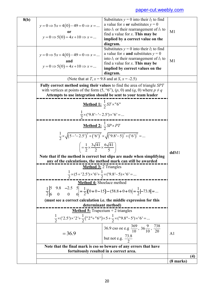| 8(b) | $y=0 \Rightarrow 5x+4(0)-49=0 \Rightarrow x = $<br>$y=0 \Rightarrow 5(0)=4x+10 \Rightarrow x = $      | Substitutes $y = 0$ into their $l_2$ to find<br>a value for x or substitutes $y = 0$<br>into $l_1$ or their rearrangement of $l_1$ to<br>find a value for $x$ . This may be<br>implied by a correct value on the                                | M1             |     |
|------|-------------------------------------------------------------------------------------------------------|-------------------------------------------------------------------------------------------------------------------------------------------------------------------------------------------------------------------------------------------------|----------------|-----|
|      | $y=0 \Rightarrow 5x+4(0)-49=0 \Rightarrow x=$<br>and<br>$y=0 \Rightarrow 5(0)=4x+10 \Rightarrow x = $ | diagram.<br>Substitutes $y = 0$ into their $l_2$ to find<br>a value for x <b>and</b> substitutes $y = 0$<br>into $l_1$ or their rearrangement of $l_1$ to<br>find a value for $x$ . This may be<br>implied by correct values on the<br>diagram. | M <sub>1</sub> |     |
|      |                                                                                                       | (Note that at T, $x = 9.8$ and at S, $x = -2.5$ )                                                                                                                                                                                               |                |     |
|      |                                                                                                       | <b>Fully correct method using their values to find the area of triangle SPT</b><br>with vertices at points of the form $(5, "6")$ , $(p, 0)$ and $(q, 0)$ where $p \neq q$<br>Attempts to use integration should be sent to your team leader    |                |     |
|      |                                                                                                       | <b>Method 1:</b> $\frac{1}{2}ST \times 16"$<br>$\frac{1}{2}$ x ('9.8'-'-2.5') x '6' =                                                                                                                                                           |                |     |
|      |                                                                                                       | <u>Method 2: <math>\frac{1}{2}SP \times PT</math></u><br>$\frac{1}{2} \times \sqrt{(5 - (-2.5))^2 + ((6))^2} \times \sqrt{(9.8 - 5)^2 + ((6))^2} = $                                                                                            |                |     |
|      | $\left(=\frac{1}{2}\times\frac{3\sqrt{41}}{2}\times\frac{6\sqrt{41}}{5}\right)$                       | Note that if the method is correct but slips are made when simplifying                                                                                                                                                                          | ddM1           |     |
|      |                                                                                                       | any of the calculations, the method mark can still be awarded                                                                                                                                                                                   |                |     |
|      | <b>Method 3:</b> 2 Triangles                                                                          |                                                                                                                                                                                                                                                 |                |     |
|      |                                                                                                       | $\frac{1}{2} \times (5 + 2.5') \times 6' + \frac{1}{2} \times (9.8 - 5) \times 6' = $                                                                                                                                                           |                |     |
|      |                                                                                                       | Method 4: Shoelace method                                                                                                                                                                                                                       |                |     |
|      |                                                                                                       | $\frac{1}{2}\begin{vmatrix} 5 & 9.8 & -2.5 & 5 \\ 6 & 0 & 0 & 6 \end{vmatrix} = \frac{1}{2} \left[ (0+0-15) - (58.8+0+0) \right] = \frac{1}{2} \left  -73.8 \right  = $                                                                         |                |     |
|      | (must see a correct calculation i.e. the middle expression for this<br>determinant method)            |                                                                                                                                                                                                                                                 |                |     |
|      |                                                                                                       |                                                                                                                                                                                                                                                 |                |     |
|      |                                                                                                       | <b>Method 5:</b> Trapezium $+2$ triangles<br>$\frac{1}{2}\times$ ('2.5')×'2'+ $\frac{1}{2}$ ("2"+"6")×5+ $\frac{1}{2}\times$ ("9.8"–5')×'6'=                                                                                                    |                |     |
|      | $= 36.9$                                                                                              | 36.9 cso oe e.g $\frac{369}{10}$ , 36 $\frac{9}{10}$ , $\frac{738}{20}$<br>but not e.g. $\frac{73.8}{2}$                                                                                                                                        | A <sub>1</sub> |     |
|      |                                                                                                       | Note that the final mark is cso so beware of any errors that have                                                                                                                                                                               |                |     |
|      |                                                                                                       | fortuitously resulted in a correct area.                                                                                                                                                                                                        |                |     |
|      |                                                                                                       |                                                                                                                                                                                                                                                 | (8 marks)      | (4) |
|      |                                                                                                       |                                                                                                                                                                                                                                                 |                |     |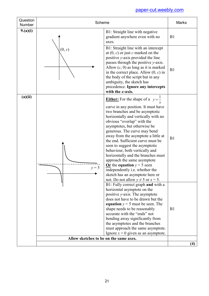| Question<br>Number | Scheme                                 |                                                                                                                                                                                                                                                                                                                                                                                                                                                                                                                                                                                                                                          | <b>Marks</b> |
|--------------------|----------------------------------------|------------------------------------------------------------------------------------------------------------------------------------------------------------------------------------------------------------------------------------------------------------------------------------------------------------------------------------------------------------------------------------------------------------------------------------------------------------------------------------------------------------------------------------------------------------------------------------------------------------------------------------------|--------------|
| 9.(a)(i)           |                                        | B1: Straight line with negative<br>gradient anywhere even with no<br>axes.                                                                                                                                                                                                                                                                                                                                                                                                                                                                                                                                                               | B1           |
|                    | (0, c)                                 | B1: Straight line with an intercept<br>at $(0, c)$ or just c marked on the<br>positive y-axis provided the line<br>passes through the positive y-axis.<br>Allow $(c, 0)$ as long as it is marked<br>in the correct place. Allow $(0, c)$ in<br>the body of the script but in any<br>ambiguity, the sketch has<br>precedence. Ignore any intercepts<br>with the $x$ -axis.                                                                                                                                                                                                                                                                | B1           |
| (a)(ii)            | $v = 5$                                | <b>Either:</b> For the shape of a $y = \frac{1}{x}$<br>curve in any position. It must have<br>two branches and be asymptotic<br>horizontally and vertically with no<br>obvious "overlap" with the<br>asymptotes, but otherwise be<br>generous. The curve may bend<br>away from the asymptote a little at<br>the end. Sufficient curve must be<br>seen to suggest the asymptotic<br>behaviour, both vertically and<br>horizontally and the branches must<br>approach the same asymptote<br>Or the equation $y = 5$ seen<br>independently i.e. whether the<br>sketch has an asymptote here or<br>not. Do not allow $y \neq 5$ or $x = 5$ . | B1           |
|                    |                                        | B1: Fully correct graph and with a<br>horizontal asymptote on the<br>positive $y$ -axis. The asymptote<br>does not have to be drawn but the<br>equation $y = 5$ must be seen. The<br>shape needs to be reasonably<br>accurate with the "ends" not<br>bending away significantly from<br>the asymptotes and the branches<br>must approach the same asymptote.<br>Ignore $x = 0$ given as an asymptote.                                                                                                                                                                                                                                    | B1           |
|                    | Allow sketches to be on the same axes. |                                                                                                                                                                                                                                                                                                                                                                                                                                                                                                                                                                                                                                          | (4)          |
|                    |                                        |                                                                                                                                                                                                                                                                                                                                                                                                                                                                                                                                                                                                                                          |              |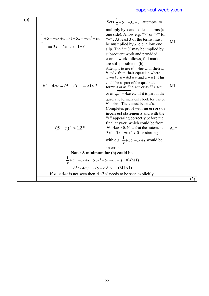| (b) | $\frac{1}{x}$ + 5 = -3x + c $\Rightarrow$ 1 + 5x = -3x <sup>2</sup> + cx<br>$\Rightarrow$ 3x <sup>2</sup> + 5x - cx + 1 = 0 | Sets $\frac{1}{x} + 5 = -3x + c$ , attempts to<br>multiply by $x$ and collects terms (to<br>one side). Allow e.g. ">" or "<" for<br>"=" $\cdot$ At least 3 of the terms must<br>be multiplied by x, e.g. allow one<br>slip. The $\prime = 0$ ' may be implied by<br>subsequent work and provided<br>correct work follows, full marks<br>are still possible in (b).    | M1    |
|-----|-----------------------------------------------------------------------------------------------------------------------------|-----------------------------------------------------------------------------------------------------------------------------------------------------------------------------------------------------------------------------------------------------------------------------------------------------------------------------------------------------------------------|-------|
|     | $b^2-4ac = (5-c)^2-4 \times 1 \times 3$                                                                                     | Attempts to use $b^2 - 4ac$ with their a,<br>$b$ and $c$ from their equation where<br>$a = \pm 3$ , $b = \pm 5 \pm c$ and $c = \pm 1$ . This<br>could be as part of the quadratic<br>formula or as $b^2 < 4ac$ or as $b^2 > 4ac$<br>or as $\sqrt{b^2-4ac}$ etc. If it is part of the<br>quadratic formula only look for use of<br>$b^2 - 4ac$ . There must be no x's. | M1    |
|     | $(5-c)^2 > 12^*$                                                                                                            | Completes proof with no errors or<br>incorrect statements and with the<br>">" appearing correctly before the<br>final answer, which could be from<br>$b^2$ - 4 <i>ac</i> > 0. Note that the statement<br>$3x^2+5x-cx+1>0$ or starting<br>with e.g. $\frac{1}{x} + 5 > -3x + c$ would be<br>an error.                                                                  | $Al*$ |
|     | Note: A minimum for (b) could be,                                                                                           |                                                                                                                                                                                                                                                                                                                                                                       |       |
|     | $\frac{1}{x}$ + 5 = -3x + c $\Rightarrow$ 3x <sup>2</sup> + 5x - cx + 1(= 0)(M1)                                            |                                                                                                                                                                                                                                                                                                                                                                       |       |
|     | $b^2 > 4ac \Rightarrow (5-c)^2 > 12(M1A1)$                                                                                  |                                                                                                                                                                                                                                                                                                                                                                       |       |
|     | If $b^2 > 4ac$ is not seen then $4 \times 3 \times 1$ needs to be seen explicitly.                                          |                                                                                                                                                                                                                                                                                                                                                                       |       |
|     |                                                                                                                             |                                                                                                                                                                                                                                                                                                                                                                       | (3)   |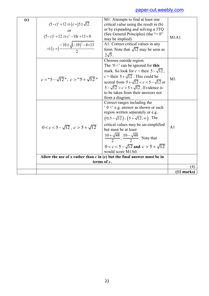|     |                                                                           |                                                                               | (11 marks)     |
|-----|---------------------------------------------------------------------------|-------------------------------------------------------------------------------|----------------|
|     |                                                                           |                                                                               | (4)            |
|     |                                                                           | terms of c.                                                                   |                |
|     | Allow the use of x rather than $c$ in (c) but the final answer must be in |                                                                               |                |
|     |                                                                           | $0 < c < 5 - \sqrt{12}$ and $c > 5 + \sqrt{12}$<br>would score M1A0.          |                |
|     |                                                                           | $\frac{10+\sqrt{48}}{2}, \frac{10-\sqrt{48}}{2}$ . Note that                  |                |
|     | $0 < c < 5 - \sqrt{12}$ , $c > 5 + \sqrt{12}$                             | critical values may be un-simplified<br>but must be at least                  | A <sub>1</sub> |
|     |                                                                           | $(0,5-\sqrt{12}), (5+\sqrt{12},\infty)$ . The                                 |                |
|     |                                                                           | $\cdot$ 0 < e.g. answer as shown or each<br>region written separately or e.g. |                |
|     |                                                                           | Correct ranges including the                                                  |                |
|     |                                                                           | from a diagram.                                                               |                |
|     |                                                                           | to be taken from their answers not                                            |                |
|     |                                                                           | $5-\sqrt{12} > c > 5+\sqrt{12}$ . Evidence is                                 |                |
|     | $c < "5-\sqrt{12}"$ , $c > "5+\sqrt{12}"$                                 | scored from $5 + \sqrt{12} < c < 5 - \sqrt{12}$ or                            | M <sub>1</sub> |
|     |                                                                           | $c >$ their $5 + \sqrt{12}$ . This could be                                   |                |
|     |                                                                           | mark. So look for $c <$ their $5-\sqrt{12}$ ,                                 |                |
|     |                                                                           | Chooses outside region.<br>The ' $0 <$ ' can be ignored for this              |                |
|     |                                                                           | $2\sqrt{3}$ .                                                                 |                |
|     |                                                                           | form. Note that $\sqrt{12}$ may be seen as                                    |                |
|     | $\Rightarrow (c = )\frac{-10 \pm \sqrt{(-10)^2 - 4 \times 13}}{2}$        | A1: Correct critical values in any                                            |                |
|     | $(5-c)^2 = 12 \implies c^2 - 10c + 13 = 0$                                | may be implied)                                                               | M1A1           |
|     |                                                                           | (See General Principles) (the "= $0$ "                                        |                |
|     |                                                                           | or by expanding and solving a 3TQ                                             |                |
| (c) | $(5-c)^2 = 12 \Rightarrow (c=)5 \pm \sqrt{12}$                            | M1: Attempts to find at least one<br>critical value using the result in (b)   |                |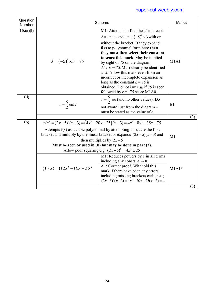| Question<br><b>Number</b> | Scheme                                                                                                                                                                                                                                                                                                                                                             |                                                                                                                                                                                                                                                                                                                                                                                                                                                                                                                                         | <b>Marks</b>   |     |
|---------------------------|--------------------------------------------------------------------------------------------------------------------------------------------------------------------------------------------------------------------------------------------------------------------------------------------------------------------------------------------------------------------|-----------------------------------------------------------------------------------------------------------------------------------------------------------------------------------------------------------------------------------------------------------------------------------------------------------------------------------------------------------------------------------------------------------------------------------------------------------------------------------------------------------------------------------------|----------------|-----|
| 10.(a)(i)                 | $k = (-5)^2 \times 3 = 75$                                                                                                                                                                                                                                                                                                                                         | M1: Attempts to find the 'y' intercept.<br>Accept as evidence $(-5)^2 \times 3$ with or<br>without the bracket. If they expand<br>$f(x)$ to polynomial form here then<br>they must then select their constant<br>to score this mark. May be implied<br>by sight of 75 on the diagram.<br>A1: $k = 75$ . Must clearly be identified<br>as $k$ . Allow this mark even from an<br>incorrect or incomplete expansion as<br>long as the constant $k = 75$ is<br>obtained. Do not is we.g. if 75 is seen<br>followed by $k = -75$ score M1A0. | M1A1           |     |
| (ii)                      | $c = \frac{5}{2}$ only                                                                                                                                                                                                                                                                                                                                             | $c = \frac{3}{2}$ oe (and no other values). Do<br>not award just from the diagram -<br>must be stated as the value of $c$ .                                                                                                                                                                                                                                                                                                                                                                                                             | B1             |     |
| (b)                       | $f(x) = (2x-5)^2(x+3) = (4x^2-20x+25)(x+3) = 4x^3-8x^2-35x+75$<br>Attempts $f(x)$ as a cubic polynomial by attempting to square the first<br>bracket and multiply by the linear bracket or expands $(2x-5)(x+3)$ and<br>then multiplies by $2x-5$<br>Must be seen or used in (b) but may be done in part (a).<br>Allow poor squaring e.g. $(2x-5)^2 = 4x^2 \pm 25$ |                                                                                                                                                                                                                                                                                                                                                                                                                                                                                                                                         | M <sub>1</sub> | (3) |
|                           | $(f'(x)=)12x^2-16x-35*$                                                                                                                                                                                                                                                                                                                                            | M1: Reduces powers by 1 in all terms<br>including any constant $\rightarrow 0$<br>A1: Correct proof. Withhold this<br>mark if there have been any errors<br>including missing brackets earlier e.g.<br>$(2x-5)^2(x+3) = 4x^2 - 20x + 25(x+3) = $                                                                                                                                                                                                                                                                                        | $M1A1*$        |     |
|                           |                                                                                                                                                                                                                                                                                                                                                                    |                                                                                                                                                                                                                                                                                                                                                                                                                                                                                                                                         |                | (3) |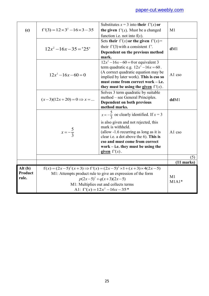|         |                                                                                                                                    | Substitutes $x = 3$ into their $f'(x)$ or                                     |              |
|---------|------------------------------------------------------------------------------------------------------------------------------------|-------------------------------------------------------------------------------|--------------|
| (c)     | $f'(3) = 12 \times 3^2 - 16 \times 3 - 35$                                                                                         | the given $f'(x)$ . Must be a changed                                         | M1           |
|         |                                                                                                                                    | function i.e. not into $f(x)$ .                                               |              |
|         |                                                                                                                                    | Sets their $f'(x)$ or the given $f'(x) =$                                     |              |
|         | $12x^2 - 16x - 35 = 25'$                                                                                                           | their $f'(3)$ with a consistent $f'$ .                                        | dM1          |
|         |                                                                                                                                    | Dependent on the previous method                                              |              |
|         |                                                                                                                                    | mark.                                                                         |              |
|         |                                                                                                                                    | $12x^2 - 16x - 60 = 0$ or equivalent 3                                        |              |
|         |                                                                                                                                    | term quadratic e.g. $12x^2 - 16x = 60$ .                                      |              |
|         | $12x^2-16x-60=0$                                                                                                                   | (A correct quadratic equation may be                                          | A1 cso       |
|         |                                                                                                                                    | implied by later work). This is cso so                                        |              |
|         |                                                                                                                                    | must come from correct work – i.e.                                            |              |
|         |                                                                                                                                    | they must be using the given $f'(x)$ .                                        |              |
|         |                                                                                                                                    | Solves 3 term quadratic by suitable                                           |              |
|         | $(x-3)(12x+20) = 0 \Rightarrow x = $                                                                                               | method – see General Principles.<br>Dependent on both previous                | ddM1         |
|         |                                                                                                                                    | method marks.                                                                 |              |
|         |                                                                                                                                    |                                                                               |              |
|         |                                                                                                                                    | $x=-\frac{5}{3}$ oe clearly identified. If $x=3$                              |              |
|         |                                                                                                                                    | is also given and not rejected, this                                          | A1 cso       |
|         |                                                                                                                                    | mark is withheld.                                                             |              |
|         | $x = -\frac{5}{3}$                                                                                                                 | (allow -1.6 recurring as long as it is                                        |              |
|         |                                                                                                                                    | clear i.e. a dot above the 6). This is                                        |              |
|         |                                                                                                                                    | cso and must come from correct                                                |              |
|         |                                                                                                                                    | work $-$ i.e. they must be using the                                          |              |
|         |                                                                                                                                    | given $f'(x)$ .                                                               |              |
|         |                                                                                                                                    |                                                                               | (5)          |
|         |                                                                                                                                    |                                                                               | $(11$ marks) |
| Alt(b)  |                                                                                                                                    | $f(x)=(2x-5)^2(x+3) \Rightarrow f'(x)=(2x-5)^2 \times 1+(x+3) \times 4(2x-5)$ |              |
| Product | M1: Attempts product rule to give an expression of the form<br>$p(2x-5)^2 + q(x+3)(2x-5)$<br>M1: Multiplies out and collects terms |                                                                               | M1           |
| rule.   |                                                                                                                                    |                                                                               | $M1A1*$      |
|         |                                                                                                                                    |                                                                               |              |
|         | Al: $f'(x) = 12x^2 - 16x - 35$ *                                                                                                   |                                                                               |              |